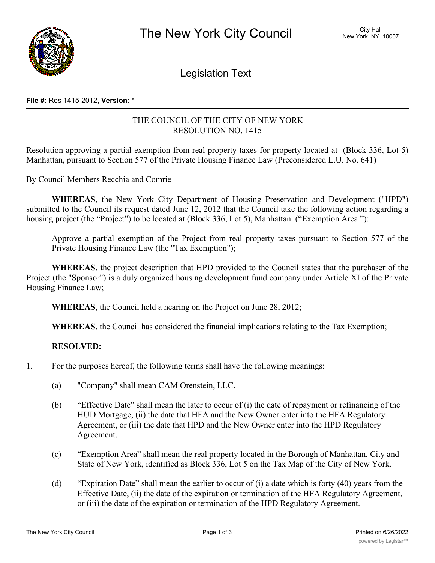

Legislation Text

#### **File #:** Res 1415-2012, **Version:** \*

# THE COUNCIL OF THE CITY OF NEW YORK RESOLUTION NO. 1415

Resolution approving a partial exemption from real property taxes for property located at (Block 336, Lot 5) Manhattan, pursuant to Section 577 of the Private Housing Finance Law (Preconsidered L.U. No. 641)

By Council Members Recchia and Comrie

**WHEREAS**, the New York City Department of Housing Preservation and Development ("HPD") submitted to the Council its request dated June 12, 2012 that the Council take the following action regarding a housing project (the "Project") to be located at (Block 336, Lot 5), Manhattan ("Exemption Area"):

Approve a partial exemption of the Project from real property taxes pursuant to Section 577 of the Private Housing Finance Law (the "Tax Exemption");

**WHEREAS**, the project description that HPD provided to the Council states that the purchaser of the Project (the "Sponsor") is a duly organized housing development fund company under Article XI of the Private Housing Finance Law;

**WHEREAS**, the Council held a hearing on the Project on June 28, 2012;

**WHEREAS**, the Council has considered the financial implications relating to the Tax Exemption;

## **RESOLVED:**

- 1. For the purposes hereof, the following terms shall have the following meanings:
	- (a) "Company" shall mean CAM Orenstein, LLC.
	- (b) "Effective Date" shall mean the later to occur of (i) the date of repayment or refinancing of the HUD Mortgage, (ii) the date that HFA and the New Owner enter into the HFA Regulatory Agreement, or (iii) the date that HPD and the New Owner enter into the HPD Regulatory Agreement.
	- (c) "Exemption Area" shall mean the real property located in the Borough of Manhattan, City and State of New York, identified as Block 336, Lot 5 on the Tax Map of the City of New York.
	- (d) "Expiration Date" shall mean the earlier to occur of (i) a date which is forty (40) years from the Effective Date, (ii) the date of the expiration or termination of the HFA Regulatory Agreement, or (iii) the date of the expiration or termination of the HPD Regulatory Agreement.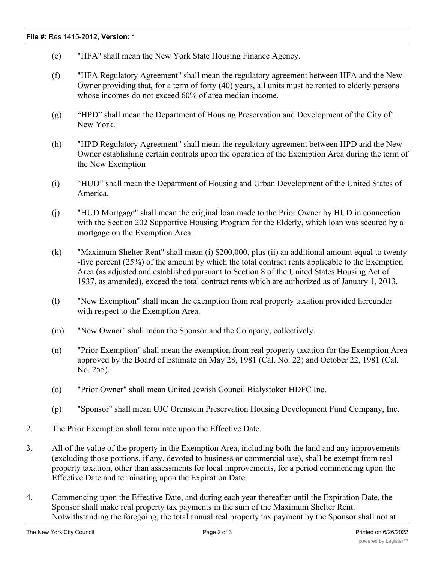### **File #:** Res 1415-2012, **Version:** \*

- (e) "HFA" shall mean the New York State Housing Finance Agency.
- (f) "HFA Regulatory Agreement" shall mean the regulatory agreement between HFA and the New Owner providing that, for a term of forty (40) years, all units must be rented to elderly persons whose incomes do not exceed 60% of area median income.
- (g) "HPD" shall mean the Department of Housing Preservation and Development of the City of New York.
- (h) "HPD Regulatory Agreement" shall mean the regulatory agreement between HPD and the New Owner establishing certain controls upon the operation of the Exemption Area during the term of the New Exemption
- (i) "HUD" shall mean the Department of Housing and Urban Development of the United States of America.
- (j) "HUD Mortgage" shall mean the original loan made to the Prior Owner by HUD in connection with the Section 202 Supportive Housing Program for the Elderly, which loan was secured by a mortgage on the Exemption Area.
- (k) "Maximum Shelter Rent" shall mean (i) \$200,000, plus (ii) an additional amount equal to twenty -five percent (25%) of the amount by which the total contract rents applicable to the Exemption Area (as adjusted and established pursuant to Section 8 of the United States Housing Act of 1937, as amended), exceed the total contract rents which are authorized as of January 1, 2013.
- (l) "New Exemption" shall mean the exemption from real property taxation provided hereunder with respect to the Exemption Area.
- (m) "New Owner" shall mean the Sponsor and the Company, collectively.
- (n) "Prior Exemption" shall mean the exemption from real property taxation for the Exemption Area approved by the Board of Estimate on May 28, 1981 (Cal. No. 22) and October 22, 1981 (Cal. No. 255).
- (o) "Prior Owner" shall mean United Jewish Council Bialystoker HDFC Inc.
- (p) "Sponsor" shall mean UJC Orenstein Preservation Housing Development Fund Company, Inc.
- 2. The Prior Exemption shall terminate upon the Effective Date.
- 3. All of the value of the property in the Exemption Area, including both the land and any improvements (excluding those portions, if any, devoted to business or commercial use), shall be exempt from real property taxation, other than assessments for local improvements, for a period commencing upon the Effective Date and terminating upon the Expiration Date.
- 4. Commencing upon the Effective Date, and during each year thereafter until the Expiration Date, the Sponsor shall make real property tax payments in the sum of the Maximum Shelter Rent. Notwithstanding the foregoing, the total annual real property tax payment by the Sponsor shall not at